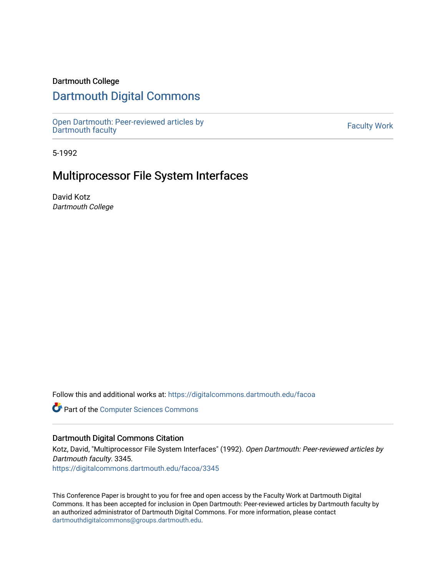### Dartmouth College

# [Dartmouth Digital Commons](https://digitalcommons.dartmouth.edu/)

[Open Dartmouth: Peer-reviewed articles by](https://digitalcommons.dartmouth.edu/facoa)  Open Dartmouth Feel-Teviewed articles by<br>[Dartmouth faculty](https://digitalcommons.dartmouth.edu/facoa)

5-1992

# Multiprocessor File System Interfaces

David Kotz Dartmouth College

Follow this and additional works at: [https://digitalcommons.dartmouth.edu/facoa](https://digitalcommons.dartmouth.edu/facoa?utm_source=digitalcommons.dartmouth.edu%2Ffacoa%2F3345&utm_medium=PDF&utm_campaign=PDFCoverPages)

Part of the [Computer Sciences Commons](http://network.bepress.com/hgg/discipline/142?utm_source=digitalcommons.dartmouth.edu%2Ffacoa%2F3345&utm_medium=PDF&utm_campaign=PDFCoverPages)

### Dartmouth Digital Commons Citation

Kotz, David, "Multiprocessor File System Interfaces" (1992). Open Dartmouth: Peer-reviewed articles by Dartmouth faculty. 3345.

[https://digitalcommons.dartmouth.edu/facoa/3345](https://digitalcommons.dartmouth.edu/facoa/3345?utm_source=digitalcommons.dartmouth.edu%2Ffacoa%2F3345&utm_medium=PDF&utm_campaign=PDFCoverPages) 

This Conference Paper is brought to you for free and open access by the Faculty Work at Dartmouth Digital Commons. It has been accepted for inclusion in Open Dartmouth: Peer-reviewed articles by Dartmouth faculty by an authorized administrator of Dartmouth Digital Commons. For more information, please contact [dartmouthdigitalcommons@groups.dartmouth.edu](mailto:dartmouthdigitalcommons@groups.dartmouth.edu).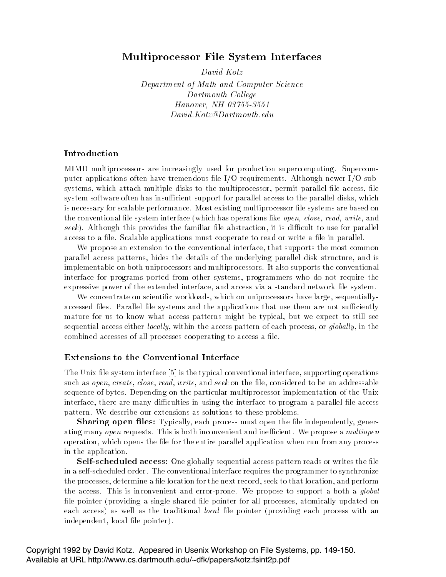## Multiprocessor File System Interfaces

David Kotz

Department of Math and Computer ScienceDartmouth College $H$ unovci . Ivii 09 199-9991 David Kotz Dartmouth edu

### Introduction

MIMD multiprocessors are increasingly used for production supercomputing- Supercom puter applications of the IO requirements of the IO requirements-increased and  $\Delta$  requirements-increased applications systems, which attach multiple disks to the multiprocessor, permit parallel file access, file system software often has insufficient support for parallel access to the parallel disks, which is necessary for scalable performance-information multiprocessor less are based on the systems are based on th  $\alpha$  conventional life system interface (which has operations like *open*, *close, read, write,* and seek, this provides this provides this recommendation in a section is abstraction in the parallel access to a le-cess to a le-central must cooperate to read or write a length cooperate to read or write a lead

We propose an extension to the conventional interface, that supports the most common parallel access patterns hides the details of the underlying parallel disk structure and is implementable on both uniprocessors and multiprocessors- It also supports the conventional interface for programs ported from other systems, programmers who do not require the expressive power of the extended interface, and access via a standard network file system.

We concentrate on scientific workloads, which on uniprocessors have large, sequentiallyaccessed les- Parallel le systems and the applications that use them are not suciently mature for us to know what access patterns might be typical, but we expect to still see sequential access either *locally*, within the access pattern of each process, or *qlobally*, in the combined accesses of all processes cooperating to access a file.

#### Extensions to the Conventional Interface

. The typical convention is the typical convention interface supporting operations operations operations are t such as open, create, close, read, write, and seek on the file, considered to be an addressable sequence of bytes- Depending on the particular multiprocessor implementation of the Unix interface, there are many difficulties in using the interface to program a parallel file access pattern- We describe our extensions as solutions to these problems-

Sharing open mes. Typically, each process must open the me-meependently, generweing many open requests. This is both meen ement and inemercies we propose a multiopene operation, which opens the file for the entire parallel application when run from any process in the application.

Self-Scheduled access. One globally sequential access pattern reads or writes the life in a selfscheduled order- The conventional interface requires the programmer to synchronize the processes, determine a file location for the next record, seek to that location, and perform the access. This is inconvenient and error proness we propose to support a society quotat file pointer (providing a single shared file pointer for all processes, atomically updated on each access) as well as the traditional *local* file pointer (providing each process with an independent, local file pointer).